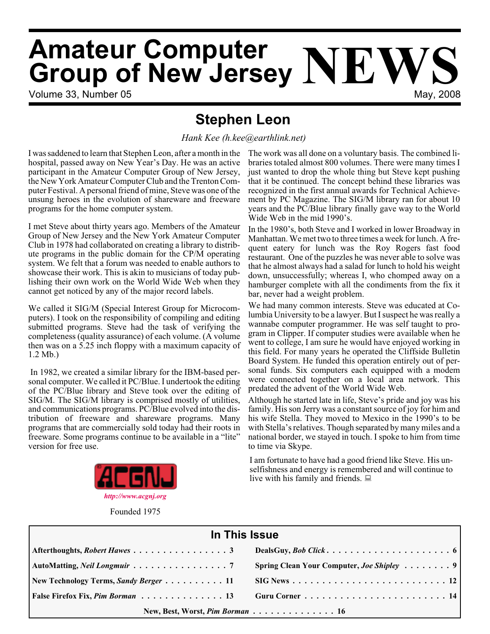# **Amateur Computer Group of New Jersey NEWS**

Volume 33, Number 05 May, 2008

# **Stephen Leon**

*Hank Kee (h.kee@earthlink.net)*

I was saddened to learn that Stephen Leon, after a month in the hospital, passed away on New Year's Day. He was an active participant in the Amateur Computer Group of New Jersey, the New York Amateur Computer Club and the Trenton Computer Festival. A personal friend of mine, Steve was one of the unsung heroes in the evolution of shareware and freeware programs for the home computer system.

I met Steve about thirty years ago. Members of the Amateur Group of New Jersey and the New York Amateur Computer Club in 1978 had collaborated on creating a library to distribute programs in the public domain for the CP/M operating system. We felt that a forum was needed to enable authors to showcase their work. This is akin to musicians of today publishing their own work on the World Wide Web when they cannot get noticed by any of the major record labels.

We called it SIG/M (Special Interest Group for Microcomputers). I took on the responsibility of compiling and editing submitted programs. Steve had the task of verifying the completeness (quality assurance) of each volume. (A volume then was on a 5.25 inch floppy with a maximum capacity of 1.2 Mb.)

In 1982, we created a similar library for the IBM-based personal computer. We called it PC/Blue. I undertook the editing of the PC/Blue library and Steve took over the editing of SIG/M. The SIG/M library is comprised mostly of utilities, and communications programs. PC/Blue evolved into the distribution of freeware and shareware programs. Many programs that are commercially sold today had their roots in freeware. Some programs continue to be available in a "lite" version for free use.



Founded 1975

The work was all done on a voluntary basis. The combined libraries totaled almost 800 volumes. There were many times I just wanted to drop the whole thing but Steve kept pushing that it be continued. The concept behind these libraries was recognized in the first annual awards for Technical Achievement by PC Magazine. The SIG/M library ran for about 10 years and the PC/Blue library finally gave way to the World Wide Web in the mid 1990's.

In the 1980's, both Steve and I worked in lower Broadway in Manhattan. We met two to three times a week for lunch. A frequent eatery for lunch was the Roy Rogers fast food restaurant. One of the puzzles he was never able to solve was that he almost always had a salad for lunch to hold his weight down, unsuccessfully; whereas I, who chomped away on a hamburger complete with all the condiments from the fix it bar, never had a weight problem.

We had many common interests. Steve was educated at Columbia University to be a lawyer. But I suspect he was really a wannabe computer programmer. He was self taught to program in Clipper. If computer studies were available when he went to college, I am sure he would have enjoyed working in this field. For many years he operated the Cliffside Bulletin Board System. He funded this operation entirely out of personal funds. Six computers each equipped with a modem were connected together on a local area network. This predated the advent of the World Wide Web.

Although he started late in life, Steve's pride and joy was his family. His son Jerry was a constant source of joy for him and his wife Stella. They moved to Mexico in the 1990's to be with Stella's relatives. Though separated by many miles and a national border, we stayed in touch. I spoke to him from time to time via Skype.

I am fortunate to have had a good friend like Steve. His unselfishness and energy is remembered and will continue to live with his family and friends.  $\Box$ 

| In This Issue                                                          |  |  |  |  |
|------------------------------------------------------------------------|--|--|--|--|
|                                                                        |  |  |  |  |
| AutoMatting, Neil Longmuir 7 Spring Clean Your Computer, Joe Shipley 9 |  |  |  |  |
|                                                                        |  |  |  |  |
|                                                                        |  |  |  |  |
| New, Best, Worst, Pim Borman 16                                        |  |  |  |  |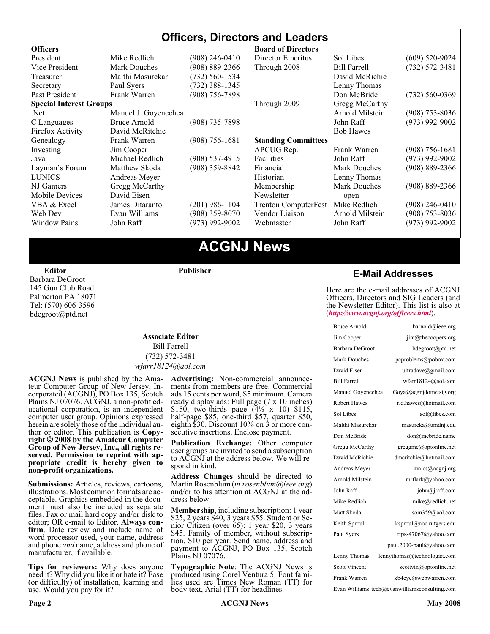# **Officers, Directors and Leaders**

| <b>Officers</b>                |                      |                    | <b>Board of Directors</b>   |                     |                    |
|--------------------------------|----------------------|--------------------|-----------------------------|---------------------|--------------------|
| President                      | Mike Redlich         | (908) 246-0410     | Director Emeritus           | Sol Libes           | $(609)$ 520-9024   |
| Vice President                 | <b>Mark Douches</b>  | $(908) 889 - 2366$ | Through 2008                | <b>Bill Farrell</b> | $(732) 572 - 3481$ |
| Treasurer                      | Malthi Masurekar     | (732) 560-1534     |                             | David McRichie      |                    |
| Secretary                      | Paul Syers           | $(732)$ 388-1345   |                             | Lenny Thomas        |                    |
| Past President                 | Frank Warren         | $(908)$ 756-7898   |                             | Don McBride         | $(732) 560 - 0369$ |
| <b>Special Interest Groups</b> |                      |                    | Through 2009                | Gregg McCarthy      |                    |
| Net.                           | Manuel J. Goyenechea |                    |                             | Arnold Milstein     | $(908)$ 753-8036   |
| C Languages                    | Bruce Arnold         | $(908)$ 735-7898   |                             | John Raff           | $(973)$ 992-9002   |
| Firefox Activity               | David McRitchie      |                    |                             | <b>Bob Hawes</b>    |                    |
| Genealogy                      | Frank Warren         | $(908) 756 - 1681$ | <b>Standing Committees</b>  |                     |                    |
| Investing                      | Jim Cooper           |                    | APCUG Rep.                  | Frank Warren        | $(908)$ 756-1681   |
| Java                           | Michael Redlich      | $(908)$ 537-4915   | Facilities                  | John Raff           | $(973)$ 992-9002   |
| Layman's Forum                 | Matthew Skoda        | (908) 359-8842     | Financial                   | <b>Mark Douches</b> | $(908) 889 - 2366$ |
| <b>LUNICS</b>                  | Andreas Meyer        |                    | Historian                   | Lenny Thomas        |                    |
| NJ Gamers                      | Gregg McCarthy       |                    | Membership                  | Mark Douches        | $(908) 889 - 2366$ |
| Mobile Devices                 | David Eisen          |                    | Newsletter                  | $-$ open $-$        |                    |
| VBA & Excel                    | James Ditaranto      | $(201)$ 986-1104   | <b>Trenton ComputerFest</b> | Mike Redlich        | $(908)$ 246-0410   |
| Web Dev                        | Evan Williams        | $(908)$ 359-8070   | Vendor Liaison              | Arnold Milstein     | $(908)$ 753-8036   |
| <b>Window Pains</b>            | John Raff            | $(973)$ 992-9002   | Webmaster                   | John Raff           | $(973)$ 992-9002   |
|                                |                      |                    |                             |                     |                    |

# **ACGNJ News**

**Editor**

Barbara DeGroot 145 Gun Club Road Palmerton PA 18071 Tel: (570) 606-3596 bdegroot@ptd.net

#### **Associate Editor** Bill Farrell (732) 572-3481 *wfarr18124@aol.com*

**Publisher**

**ACGNJ News** is published by the Amateur Computer Group of New Jersey, Incorporated (ACGNJ), PO Box 135, Scotch Plains NJ 07076. ACGNJ, a non-profit educational corporation, is an independent computer user group. Opinions expressed<br>herein are solely those of the individual author or editor. This publication is **Copy-**<br>right © 2008 by the Amateur Computer<br>Group of New Jersey, Inc., all rights re-**Group of New Jersey, Inc., all rights re- served. Permission to reprint with ap- propriate credit is hereby given to non-profit organizations.**

**Submissions:** Articles, reviews, cartoons, illustrations. Most common formats are acceptable. Graphics embedded in the docu-<br>ment must also be included as separate files. Fax or mail hard copy and/or disk to editor: OR e-mail to Editor. **Always con**firm. Date review and include name of word processor used, your name, address and phone *and* name, address and phone of manufacturer, if available.

**Tips for reviewers:** Why does anyone need it? Why did you like it or hate it? Ease (or difficulty) of installation, learning and use. Would you pay for it?

**Advertising:** Non-commercial announce- ments from members are free. Commercial ads 15 cents per word, \$5 minimum. Camera ready display ads: Full page (7 x 10 inches) \$150, two-thirds page (4½ x 10) \$115, half-page \$85, one-third \$57, quarter \$50, eighth \$30. Discount 10% on 3 or more con- secutive insertions. Enclose payment.

**Publication Exchange:** Other computer user groups are invited to send a subscription to ACGNJ at the address below. We will re- spond in kind.

**Address Changes** should be directed to Martin Rosenblum (*m.rosenblum@ieee.org*) and/or to his attention at ACGNJ at the ad- dress below.

**Membership**, including subscription: 1 year \$25, 2 years \$40, 3 years \$55. Student or Senior Citizen (over 65): 1 year \$20, 3 years \$45. Family of member, without subscription, \$10 per year. Send name, address and payment to ACGNJ, PO Box 135, Scotch Plains NJ 07076.

**Typographic Note**: The ACGNJ News is produced using Corel Ventura 5. Font fami- lies used are Times New Roman (TT) for body text, Arial (TT) for headlines.

# **E-Mail Addresses**

Here are the e-mail addresses of ACGNJ Officers, Directors and SIG Leaders (and the Newsletter Editor). This list is also at (*<http://www.acgnj.org/officers.html>*).

| <b>Bruce Arnold</b>                           | barnold@ieee.org             |  |  |
|-----------------------------------------------|------------------------------|--|--|
| Jim Cooper                                    | jim@thecoopers.org           |  |  |
| Barbara DeGroot                               | bdegroot@ptd.net             |  |  |
| Mark Douches                                  | pcproblems@pobox.com         |  |  |
| David Eisen                                   | ultradave@gmail.com          |  |  |
| <b>Bill Farrell</b>                           | wfarr18124@aol.com           |  |  |
| Manuel Goyenechea                             | Goya@acgnidotnetsig.org      |  |  |
| <b>Robert Hawes</b>                           | r.d.hawes@hotmail.com        |  |  |
| Sol Libes                                     | sol@libes.com                |  |  |
| Malthi Masurekar                              | masureka@umdnj.edu           |  |  |
| Don McBride                                   | don@mcbride.name             |  |  |
| Gregg McCarthy                                | greggmc@optonline.net        |  |  |
| David McRichie                                | dmcritchie@hotmail.com       |  |  |
| Andreas Meyer                                 | lunics@acgnj.org             |  |  |
| Arnold Milstein                               | mrflark@yahoo.com            |  |  |
| John Raff                                     | john@jraff.com               |  |  |
| Mike Redlich                                  | mike@redlich.net             |  |  |
| Matt Skoda                                    | som359@aol.com               |  |  |
| Keith Sproul                                  | ksproul@noc.rutgers.edu      |  |  |
| Paul Syers                                    | rtpss47067@yahoo.com         |  |  |
|                                               | paul.2000-paul@yahoo.com     |  |  |
| Lenny Thomas                                  | lennythomas@technologist.com |  |  |
| <b>Scott Vincent</b>                          | scottvin@optonline.net       |  |  |
| Frank Warren                                  | kb4cyc@webwarren.com         |  |  |
| Evan Williams tech@evanwilliamsconsulting.com |                              |  |  |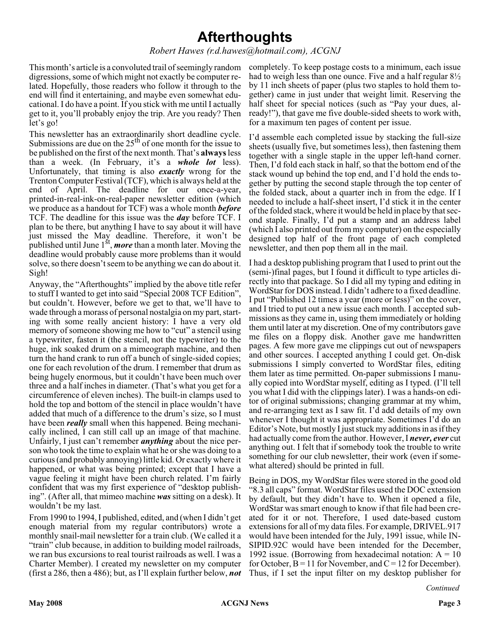# **Afterthoughts**

#### *Robert Hawes (r.d.hawes@hotmail.com), ACGNJ*

This month's article is a convoluted trail of seemingly random completely. To keep postage costs to a minimum, each issue digressions, some of which might not exactly be computer related. Hopefully, those readers who follow it through to the end will find it entertaining, and maybe even somewhat educational. I do have a point. If you stick with me until I actually get to it, you'll probably enjoy the trip. Are you ready? Then let's go!

This newsletter has an extraordinarily short deadline cycle.<br>Submissions are due on the 25<sup>th</sup> of one month for the issue to be published on the first of the next month. That's **always**less than a week. (In February, it's a *whole lot* less). Unfortunately, that timing is also *exactly* wrong for the Trenton Computer Festival (TCF), which is always held at the end of April. The deadline for our once-a-year, printed-in-real-ink-on-real-paper newsletter edition (which we produce as a handout for TCF) was a whole month *before* TCF. The deadline for this issue was the *day* before TCF. I plan to be there, but anything I have to say about it will have just missed the May deadline. Therefore, it won't be published until June 1<sup>st</sup>, *more* than a month later. Moving the deadline would probably cause more problems than it would solve, so there doesn't seem to be anything we can do about it. Sigh!

Anyway, the "Afterthoughts" implied by the above title refer to stuff I wanted to get into said "Special 2008 TCF Edition", but couldn't. However, before we get to that, we'll have to wade through a morass of personal nostalgia on my part, starting with some really ancient history: I have a very old memory of someone showing me how to "cut" a stencil using a typewriter, fasten it (the stencil, not the typewriter) to the huge, ink soaked drum on a mimeograph machine, and then turn the hand crank to run off a bunch of single-sided copies; one for each revolution of the drum. I remember that drum as being hugely enormous, but it couldn't have been much over three and a half inches in diameter. (That's what you get for a circumference of eleven inches). The built-in clamps used to hold the top and bottom of the stencil in place wouldn't have added that much of a difference to the drum's size, so I must have been *really* small when this happened. Being mechanically inclined, I can still call up an image of that machine. Unfairly, I just can't remember *anything* about the nice person who took the time to explain what he or she was doing to a curious (and probably annoying) little kid. Or exactly where it happened, or what was being printed; except that I have a vague feeling it might have been church related. I'm fairly confident that was my first experience of "desktop publishing". (After all, that mimeo machine *was* sitting on a desk). It wouldn't be my last.

From 1990 to 1994, I published, edited, and (when I didn't get enough material from my regular contributors) wrote a monthly snail-mail newsletter for a train club. (We called it a "train" club because, in addition to building model railroads, we ran bus excursions to real tourist railroads as well. I was a Charter Member). I created my newsletter on my computer (first a 286, then a 486); but, as I'll explain further below, *not*

had to weigh less than one ounce. Five and a half regular 8½ by 11 inch sheets of paper (plus two staples to hold them together) came in just under that weight limit. Reserving the half sheet for special notices (such as "Pay your dues, already!"), that gave me five double-sided sheets to work with, for a maximum ten pages of content per issue.

I'd assemble each completed issue by stacking the full-size sheets (usually five, but sometimes less), then fastening them together with a single staple in the upper left-hand corner. Then, I'd fold each stack in half, so that the bottom end of the stack wound up behind the top end, and I'd hold the ends together by putting the second staple through the top center of the folded stack, about a quarter inch in from the edge. If I needed to include a half-sheet insert, I'd stick it in the center of the folded stack, where it would be held in place by that second staple. Finally, I'd put a stamp and an address label (which I also printed out from my computer) on the especially designed top half of the front page of each completed newsletter, and then pop them all in the mail.

I had a desktop publishing program that I used to print out the (semi-)final pages, but I found it difficult to type articles directly into that package. So I did all my typing and editing in WordStar for DOS instead. I didn't adhere to a fixed deadline. I put "Published 12 times a year (more or less)" on the cover, and I tried to put out a new issue each month. I accepted submissions as they came in, using them immediately or holding them until later at my discretion. One of my contributors gave me files on a floppy disk. Another gave me handwritten pages. A few more gave me clippings cut out of newspapers and other sources. I accepted anything I could get. On-disk submissions I simply converted to WordStar files, editing them later as time permitted. On-paper submissions I manually copied into WordStar myself, editing as I typed. (I'll tell you what I did with the clippings later). I was a hands-on editor of original submissions; changing grammar at my whim, and re-arranging text as I saw fit. I'd add details of my own whenever I thought it was appropriate. Sometimes I'd do an Editor's Note, but mostly I just stuck my additions in as if they had actually come from the author. However, I *never, ever* cut anything out. I felt that if somebody took the trouble to write something for our club newsletter, their work (even if somewhat altered) should be printed in full.

Being in DOS, my WordStar files were stored in the good old "8.3 all caps" format. WordStar files used the DOC extension by default, but they didn't have to. When it opened a file, WordStar was smart enough to know if that file had been created for it or not. Therefore, I used date-based custom extensions for all of my data files. For example, DRIVEL.917 would have been intended for the July, 1991 issue, while IN-SIPID.92C would have been intended for the December, 1992 issue. (Borrowing from hexadecimal notation:  $A = 10$ for October,  $B = 11$  for November, and  $C = 12$  for December). Thus, if I set the input filter on my desktop publisher for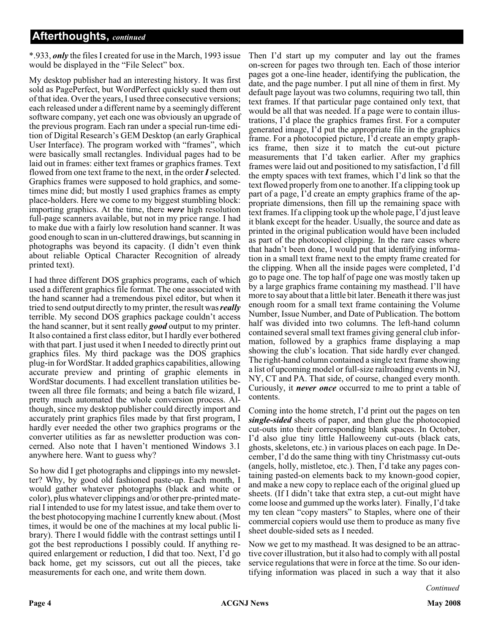\*.933, *only* the files I created for use in the March, 1993 issue would be displayed in the "File Select" box.

My desktop publisher had an interesting history. It was first sold as PagePerfect, but WordPerfect quickly sued them out of that idea. Over the years, I used three consecutive versions; each released under a different name by a seemingly different software company, yet each one was obviously an upgrade of the previous program. Each ran under a special run-time edition of Digital Research's GEM Desktop (an early Graphical User Interface). The program worked with "frames", which were basically small rectangles. Individual pages had to be laid out in frames: either text frames or graphics frames. Text flowed from one text frame to the next, in the order*I*selected. Graphics frames were supposed to hold graphics, and sometimes mine did; but mostly I used graphics frames as empty place-holders. Here we come to my biggest stumbling block: importing graphics. At the time, there *were* high resolution full-page scanners available, but not in my price range. I had to make due with a fairly low resolution hand scanner. It was good enough to scan in un-cluttered drawings, but scanning in photographs was beyond its capacity. (I didn't even think about reliable Optical Character Recognition of already printed text).

I had three different DOS graphics programs, each of which used a different graphics file format. The one associated with the hand scanner had a tremendous pixel editor, but when it tried to send output directly to my printer, the result was*really* terrible. My second DOS graphics package couldn't access the hand scanner, but it sent really *good* output to my printer. It also contained a first class editor, but I hardly ever bothered with that part. I just used it when I needed to directly print out graphics files. My third package was the DOS graphics plug-in for WordStar. It added graphics capabilities, allowing accurate preview and printing of graphic elements in WordStar documents. I had excellent translation utilities between all three file formats; and being a batch file wizard, I pretty much automated the whole conversion process. Although, since my desktop publisher could directly import and accurately print graphics files made by that first program, I hardly ever needed the other two graphics programs or the converter utilities as far as newsletter production was concerned. Also note that I haven't mentioned Windows 3.1 anywhere here. Want to guess why?

So how did I get photographs and clippings into my newsletter? Why, by good old fashioned paste-up. Each month, I would gather whatever photographs (black and white or color), plus whatever clippings and/or other pre-printed material I intended to use for my latest issue, and take them over to the best photocopying machine I currently knew about. (Most times, it would be one of the machines at my local public library). There I would fiddle with the contrast settings until I got the best reproductions I possibly could. If anything required enlargement or reduction, I did that too. Next, I'd go back home, get my scissors, cut out all the pieces, take measurements for each one, and write them down.

Then I'd start up my computer and lay out the frames on-screen for pages two through ten. Each of those interior pages got a one-line header, identifying the publication, the date, and the page number. I put all nine of them in first. My default page layout was two columns, requiring two tall, thin text frames. If that particular page contained only text, that would be all that was needed. If a page were to contain illustrations, I'd place the graphics frames first. For a computer generated image, I'd put the appropriate file in the graphics frame. For a photocopied picture, I'd create an empty graphics frame, then size it to match the cut-out picture measurements that I'd taken earlier. After my graphics frames were laid out and positioned to my satisfaction, I'd fill the empty spaces with text frames, which I'd link so that the text flowed properly from one to another. If a clipping took up part of a page, I'd create an empty graphics frame of the appropriate dimensions, then fill up the remaining space with text frames. If a clipping took up the whole page, I'd just leave it blank except for the header. Usually, the source and date as printed in the original publication would have been included as part of the photocopied clipping. In the rare cases where that hadn't been done, I would put that identifying information in a small text frame next to the empty frame created for the clipping. When all the inside pages were completed, I'd go to page one. The top half of page one was mostly taken up by a large graphics frame containing my masthead. I'll have more to say about that a little bit later. Beneath it there was just enough room for a small text frame containing the Volume Number, Issue Number, and Date of Publication. The bottom half was divided into two columns. The left-hand column contained several small text frames giving general club information, followed by a graphics frame displaying a map showing the club's location. That side hardly ever changed. The right-hand column contained a single text frame showing a list of upcoming model or full-size railroading events in NJ, NY, CT and PA. That side, of course, changed every month. Curiously, it *never once* occurred to me to print a table of contents.

Coming into the home stretch, I'd print out the pages on ten *single-sided* sheets of paper, and then glue the photocopied cut-outs into their corresponding blank spaces. In October, I'd also glue tiny little Halloweeny cut-outs (black cats, ghosts, skeletons, etc.) in various places on each page. In December, I'd do the same thing with tiny Christmassy cut-outs (angels, holly, mistletoe, etc.). Then, I'd take any pages containing pasted-on elements back to my known-good copier, and make a new copy to replace each of the original glued up sheets. (If I didn't take that extra step, a cut-out might have come loose and gummed up the works later). Finally, I'd take my ten clean "copy masters" to Staples, where one of their commercial copiers would use them to produce as many five sheet double-sided sets as I needed.

Now we get to my masthead. It was designed to be an attractive cover illustration, but it also had to comply with all postal service regulations that were in force at the time. So our identifying information was placed in such a way that it also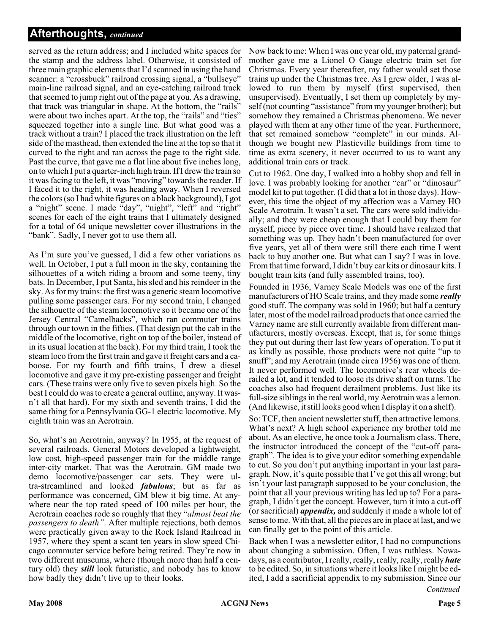# **Afterthoughts,** *continued*

served as the return address; and I included white spaces for the stamp and the address label. Otherwise, it consisted of three main graphic elements that I'd scanned in using the hand scanner: a "crossbuck" railroad crossing signal, a "bullseye" main-line railroad signal, and an eye-catching railroad track that seemed to jump right out of the page at you. As a drawing, that track was triangular in shape. At the bottom, the "rails" were about two inches apart. At the top, the "rails" and "ties" squeezed together into a single line. But what good was a track without a train? I placed the track illustration on the left side of the masthead, then extended the line at the top so that it curved to the right and ran across the page to the right side. Past the curve, that gave me a flat line about five inches long, on to which I put a quarter-inch high train. If I drew the train so it was facing to the left, it was "moving" towards the reader. If I faced it to the right, it was heading away. When I reversed the colors (so I had white figures on a black background), I got a "night" scene. I made "day", "night", "left" and "right" scenes for each of the eight trains that I ultimately designed for a total of 64 unique newsletter cover illustrations in the "bank". Sadly, I never got to use them all.

As I'm sure you've guessed, I did a few other variations as well. In October, I put a full moon in the sky, containing the silhouettes of a witch riding a broom and some teeny, tiny bats. In December, I put Santa, his sled and his reindeer in the sky. As for my trains: the first was a generic steam locomotive pulling some passenger cars. For my second train, I changed the silhouette of the steam locomotive so it became one of the Jersey Central "Camelbacks", which ran commuter trains through our town in the fifties. (That design put the cab in the middle of the locomotive, right on top of the boiler, instead of in its usual location at the back). For my third train, I took the steam loco from the first train and gave it freight cars and a caboose. For my fourth and fifth trains, I drew a diesel locomotive and gave it my pre-existing passenger and freight cars. (These trains were only five to seven pixels high. So the best I could do was to create a general outline, anyway. It wasn't all that hard). For my sixth and seventh trains, I did the same thing for a Pennsylvania GG-1 electric locomotive. My eighth train was an Aerotrain.

So, what's an Aerotrain, anyway? In 1955, at the request of several railroads, General Motors developed a lightweight, low cost, high-speed passenger train for the middle range inter-city market. That was the Aerotrain. GM made two demo locomotive/passenger car sets. They were ultra-streamlined and looked *fabulous*; but as far as performance was concerned, GM blew it big time. At anywhere near the top rated speed of 100 miles per hour, the Aerotrain coaches rode so roughly that they "*almost beat the passengers to death"*. After multiple rejections, both demos were practically given away to the Rock Island Railroad in 1957, where they spent a scant ten years in slow speed Chicago commuter service before being retired. They're now in two different museums, where (though more than half a century old) they *still* look futuristic, and nobody has to know how badly they didn't live up to their looks.

Now back to me: When I was one year old, my paternal grandmother gave me a Lionel O Gauge electric train set for Christmas. Every year thereafter, my father would set those trains up under the Christmas tree. As I grew older, I was allowed to run them by myself (first supervised, then unsupervised). Eventually, I set them up completely by myself (not counting "assistance" from my younger brother); but somehow they remained a Christmas phenomena. We never played with them at any other time of the year. Furthermore, that set remained somehow "complete" in our minds. Although we bought new Plasticville buildings from time to time as extra scenery, it never occurred to us to want any additional train cars or track.

Cut to 1962. One day, I walked into a hobby shop and fell in love. I was probably looking for another "car" or "dinosaur" model kit to put together. (I did that a lot in those days). However, this time the object of my affection was a Varney HO Scale Aerotrain. It wasn't a set. The cars were sold individually; and they were cheap enough that I could buy them for myself, piece by piece over time. I should have realized that something was up. They hadn't been manufactured for over five years, yet all of them were still there each time I went back to buy another one. But what can I say? I was in love. From that time forward, I didn't buy car kits or dinosaur kits. I bought train kits (and fully assembled trains, too).

Founded in 1936, Varney Scale Models was one of the first manufacturers of HO Scale trains, and they made some *really* good stuff. The company was sold in 1960; but half a century later, most of the model railroad products that once carried the Varney name are still currently available from different manufacturers, mostly overseas. Except, that is, for some things they put out during their last few years of operation. To put it as kindly as possible, those products were not quite "up to snuff"; and my Aerotrain (made circa 1956) was one of them. It never performed well. The locomotive's rear wheels derailed a lot, and it tended to loose its drive shaft on turns. The coaches also had frequent derailment problems. Just like its full-size siblings in the real world, my Aerotrain was a lemon. (And likewise, it still looks good when I display it on a shelf).

So: TCF, then ancient newsletter stuff, then attractive lemons. What's next? A high school experience my brother told me about. As an elective, he once took a Journalism class. There, the instructor introduced the concept of the "cut-off paragraph". The idea is to give your editor something expendable to cut. So you don't put anything important in your last paragraph. Now, it's quite possible that I've got this all wrong; but isn't your last paragraph supposed to be your conclusion, the point that all your previous writing has led up to? For a paragraph, I didn't get the concept. However, turn it into a cut-off (or sacrificial) *appendix,* and suddenly it made a whole lot of sense to me. With that, all the pieces are in place at last, and we can finally get to the point of this article.

*Continued* Back when I was a newsletter editor, I had no compunctions about changing a submission. Often, I was ruthless. Nowadays, as a contributor, I really, really, really, really, really *hate* to be edited. So, in situations where it looks like I might be edited, I add a sacrificial appendix to my submission. Since our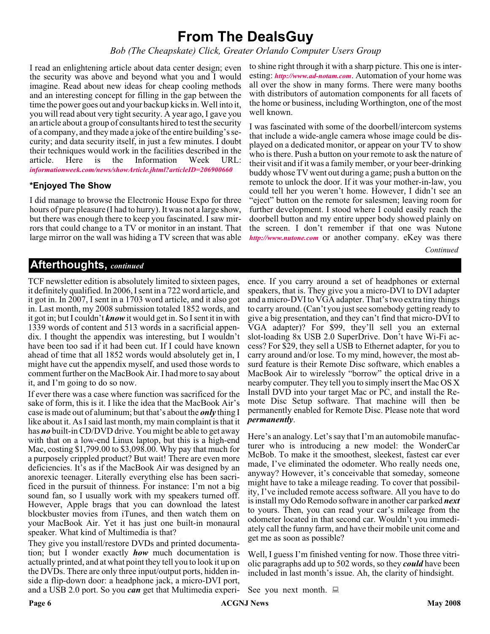# **From The DealsGuy**

*Bob (The Cheapskate) Click, Greater Orlando Computer Users Group*

I read an enlightening article about data center design; even the security was above and beyond what you and I would imagine. Read about new ideas for cheap cooling methods and an interesting concept for filling in the gap between the time the power goes out and your backup kicks in. Well into it, you will read about very tight security. A year ago, I gave you an article about a group of consultants hired to test the security of a company, and they made a joke of the entire building's security; and data security itself, in just a few minutes. I doubt their techniques would work in the facilities described in the article. Here is the Information Week URL: article. Here is the Information Week URL: *[informationweek.com/news/showArticle.jhtml?articleID=206900660](http://www.informationweek.com/news/showArticle.jhtml?articleID=206900660)*

#### **\*Enjoyed The Show**

I did manage to browse the Electronic House Expo for three hours of pure pleasure (I had to hurry). It was not a large show, but there was enough there to keep you fascinated. I saw mirrors that could change to a TV or monitor in an instant. That large mirror on the wall was hiding a TV screen that was able

to shine right through it with a sharp picture. This one is interesting: *<http://www.ad-notam.com>*. Automation of your home was all over the show in many forms. There were many booths with distributors of automation components for all facets of the home or business, including Worthington, one of the most well known.

I was fascinated with some of the doorbell/intercom systems that include a wide-angle camera whose image could be displayed on a dedicated monitor, or appear on your TV to show who is there. Push a button on your remote to ask the nature of their visit and if it was a family member, or your beer-drinking buddy whose TV went out during a game; push a button on the remote to unlock the door. If it was your mother-in-law, you could tell her you weren't home. However, I didn't see an "eject" button on the remote for salesmen; leaving room for further development. I stood where I could easily reach the doorbell button and my entire upper body showed plainly on the screen. I don't remember if that one was Nutone *<http://www.nutone.com>* or another company. eKey was there

*Continued*

# **Afterthoughts,** *continued*

TCF newsletter edition is absolutely limited to sixteen pages, it definitely qualified. In 2006, I sent in a 722 word article, and it got in. In 2007, I sent in a 1703 word article, and it also got in. Last month, my 2008 submission totaled 1852 words, and it got in; but I couldn't *know*it would get in. So I sent it in with 1339 words of content and 513 words in a sacrificial appendix. I thought the appendix was interesting, but I wouldn't have been too sad if it had been cut. If I could have known ahead of time that all 1852 words would absolutely get in, I might have cut the appendix myself, and used those words to comment further on the MacBook Air. I had more to say about it, and I'm going to do so now.

If ever there was a case where function was sacrificed for the sake of form, this is it. I like the idea that the MacBook Air's case is made out of aluminum; but that's about the *only* thing I like about it. As I said last month, my main complaint is that it has *no* built-in CD/DVD drive. You might be able to get away with that on a low-end Linux laptop, but this is a high-end Mac, costing \$1,799.00 to \$3,098.00. Why pay that much for a purposely crippled product? But wait! There are even more deficiencies. It's as if the MacBook Air was designed by an anorexic teenager. Literally everything else has been sacrificed in the pursuit of thinness. For instance: I'm not a big sound fan, so I usually work with my speakers turned off. However, Apple brags that you can download the latest blockbuster movies from iTunes, and then watch them on your MacBook Air. Yet it has just one built-in monaural speaker. What kind of Multimedia is that?

They give you install/restore DVDs and printed documentation; but I wonder exactly *how* much documentation is actually printed, and at what point they tell you to look it up on the DVDs. There are only three input/output ports, hidden inside a flip-down door: a headphone jack, a micro-DVI port, and a USB 2.0 port. So you *can* get that Multimedia experi-

ence. If you carry around a set of headphones or external speakers, that is. They give you a micro-DVI to DVI adapter and a micro-DVI to VGA adapter. That's two extra tiny things to carry around. (Can't you just see somebody getting ready to give a big presentation, and they can't find that micro-DVI to VGA adapter)? For \$99, they'll sell you an external slot-loading 8x USB 2.0 SuperDrive. Don't have Wi-Fi access? For \$29, they sell a USB to Ethernet adapter, for you to carry around and/or lose. To my mind, however, the most absurd feature is their Remote Disc software, which enables a MacBook Air to wirelessly "borrow" the optical drive in a nearby computer. They tell you to simply insert the Mac OS X Install DVD into your target Mac or PC, and install the Remote Disc Setup software. That machine will then be permanently enabled for Remote Disc. Please note that word *permanently*.

Here's an analogy. Let's say that I'm an automobile manufacturer who is introducing a new model: the WonderCar McBob. To make it the smoothest, sleekest, fastest car ever made, I've eliminated the odometer. Who really needs one, anyway? However, it's conceivable that someday, someone might have to take a mileage reading. To cover that possibility, I've included remote access software. All you have to do is install my Odo Remodo software in another car parked *next* to yours. Then, you can read your car's mileage from the odometer located in that second car. Wouldn't you immediately call the funny farm, and have their mobile unit come and get me as soon as possible?

Well, I guess I'm finished venting for now. Those three vitriolic paragraphs add up to 502 words, so they *could* have been included in last month's issue. Ah, the clarity of hindsight.

See you next month.  $\Box$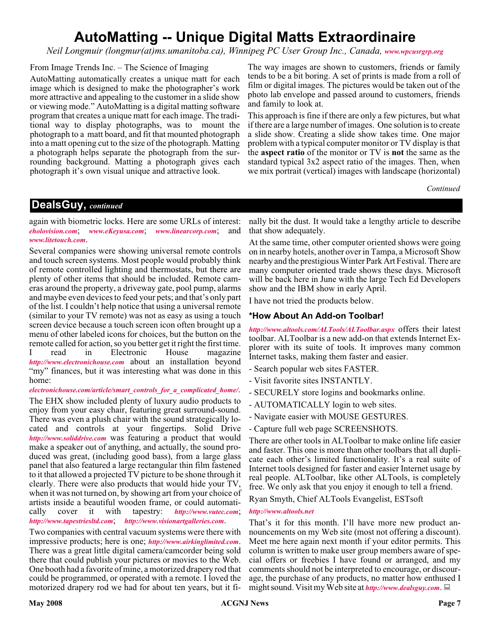# **AutoMatting -- Unique Digital Matts Extraordinaire**

*Neil Longmuir (longmur(at)ms.umanitoba.ca), Winnipeg PC User Group Inc., Canada, [www.wpcusrgrp.org](http://www.wpcusrgrp.org)*

From Image Trends Inc. – The Science of Imaging

AutoMatting automatically creates a unique matt for each image which is designed to make the photographer's work more attractive and appealing to the customer in a slide show or viewing mode." AutoMatting is a digital matting software program that creates a unique matt for each image. The traditional way to display photographs, was to mount the photograph to a matt board, and fit that mounted photograph into a matt opening cut to the size of the photograph. Matting a photograph helps separate the photograph from the surrounding background. Matting a photograph gives each photograph it's own visual unique and attractive look.

The way images are shown to customers, friends or family tends to be a bit boring. A set of prints is made from a roll of film or digital images. The pictures would be taken out of the photo lab envelope and passed around to customers, friends and family to look at.

This approach is fine if there are only a few pictures, but what if there are a large number of images. One solution is to create a slide show. Creating a slide show takes time. One major problem with a typical computer monitor or TV display is that the **aspect ratio** of the monitor or TV is **not** the same as the standard typical 3x2 aspect ratio of the images. Then, when we mix portrait (vertical) images with landscape (horizontal)

*Continued*

# **DealsGuy,** *continued*

again with biometric locks. Here are some URLs of interest: *[eholovision.com](http://eholovision.com)*; *[www.eKeyusa.com](http://www.eKeyusa.com)*; *[www.linearcorp.com](http://www.linearcorp.com)*; and *[www.litetouch.com](http://www.litetouch.com)*.

Several companies were showing universal remote controls and touch screen systems. Most people would probably think of remote controlled lighting and thermostats, but there are plenty of other items that should be included. Remote cameras around the property, a driveway gate, pool pump, alarms and maybe even devices to feed your pets; and that's only part of the list. I couldn't help notice that using a universal remote (similar to your TV remote) was not as easy as using a touch screen device because a touch screen icon often brought up a menu of other labeled icons for choices, but the button on the remote called for action, so you better get it right the first time. I read in Electronic House magazine *<http://www.electronichouse.com>* about an installation beyond "my" finances, but it was interesting what was done in this home:

*[electronichouse.com/article/smart\\_controls\\_for\\_a\\_complicated\\_home/](http://www.electronichouse.com/article/smart_controls_for_a_complicated_home/)*.

The EHX show included plenty of luxury audio products to enjoy from your easy chair, featuring great surround-sound. There was even a plush chair with the sound strategically located and controls at your fingertips. Solid Drive *<http://www.soliddrive.com>* was featuring a product that would make a speaker out of anything, and actually, the sound produced was great, (including good bass), from a large glass panel that also featured a large rectangular thin film fastened to it that allowed a projected TV picture to be shone through it clearly. There were also products that would hide your TV, when it was not turned on, by showing art from your choice of artists inside a beautiful wooden frame, or could automatically cover it with tapestry: *[http://www.vutec.com](http://www.vutec.com ttp://www.tapestriesltd.com)*; *<http://www.tapestriesltd.com>*; *<http://www.visionartgalleries.com>*.

Two companies with central vacuum systems were there with impressive products; here is one; *<http://www.airkinglimited.com>*. There was a great little digital camera/camcorder being sold there that could publish your pictures or movies to the Web. One booth had a favorite of mine, a motorized drapery rod that could be programmed, or operated with a remote. I loved the motorized drapery rod we had for about ten years, but it fi-

nally bit the dust. It would take a lengthy article to describe that show adequately.

At the same time, other computer oriented shows were going on in nearby hotels, another over in Tampa, a Microsoft Show nearby and the prestigious Winter Park Art Festival. There are many computer oriented trade shows these days. Microsoft will be back here in June with the large Tech Ed Developers show and the IBM show in early April.

I have not tried the products below.

#### **\*How About An Add-on Toolbar!**

*<http://www.altools.com/ALTools/ALToolbar.aspx>* offers their latest toolbar. ALToolbar is a new add-on that extends Internet Explorer with its suite of tools. It improves many common Internet tasks, making them faster and easier.

- Search popular web sites FASTER.
- Visit favorite sites INSTANTLY.
- SECURELY store logins and bookmarks online.
- AUTOMATICALLY login to web sites.
- Navigate easier with MOUSE GESTURES.
- Capture full web page SCREENSHOTS.

There are other tools in ALToolbar to make online life easier and faster. This one is more than other toolbars that all duplicate each other's limited functionality. It's a real suite of Internet tools designed for faster and easier Internet usage by real people. ALToolbar, like other ALTools, is completely free. We only ask that you enjoy it enough to tell a friend.

Ryan Smyth, Chief ALTools Evangelist, ESTsoft

#### *<http://www.altools.net>*

That's it for this month. I'll have more new product announcements on my Web site (most not offering a discount). Meet me here again next month if your editor permits. This column is written to make user group members aware of special offers or freebies I have found or arranged, and my comments should not be interpreted to encourage, or discourage, the purchase of any products, no matter how enthused I might sound. Visit my Web site at *<http://www.dealsguy.com>*.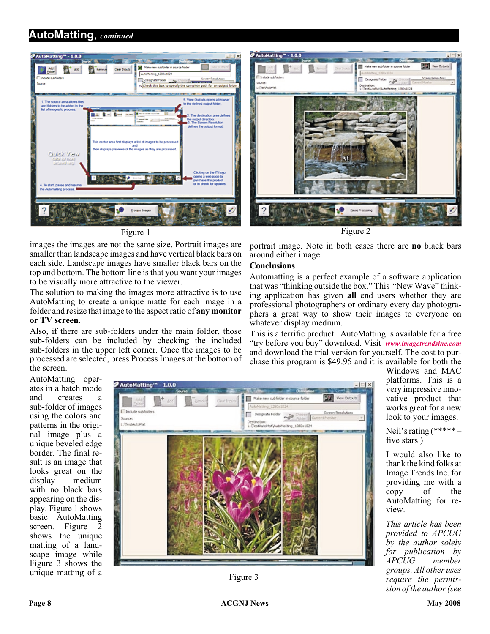# **AutoMatting**, *continued*



images the images are not the same size. Portrait images are smaller than landscape images and have vertical black bars on each side. Landscape images have smaller black bars on the top and bottom. The bottom line is that you want your images to be visually more attractive to the viewer.

The solution to making the images more attractive is to use AutoMatting to create a unique matte for each image in a folder and resize that image to the aspect ratio of **any monitor or TV screen**.

Also, if there are sub-folders under the main folder, those sub-folders can be included by checking the included sub-folders in the upper left corner. Once the images to be processed are selected, press Process Images at the bottom of the screen.



portrait image. Note in both cases there are **no** black bars around either image.

#### **Conclusions**

Automatting is a perfect example of a software application that was "thinking outside the box." This "New Wave" thinking application has given **all** end users whether they are professional photographers or ordinary every day photographers a great way to show their images to everyone on whatever display medium.

This is a terrific product. AutoMatting is available for a free "try before you buy" download. Visit *[www.imagetrendsinc.com](http://www.imagetrendsinc.com)* and download the trial version for yourself. The cost to purchase this program is \$49.95 and it is available for both the

AutoMatting operates in a batch mode and creates a sub-folder of images using the colors and patterns in the original image plus a unique beveled edge border. The final result is an image that looks great on the display medium medium with no black bars appearing on the display. Figure 1 shows basic AutoMatting screen. Figure 2 shows the unique matting of a landscape image while Figure 3 shows the unique matting of a



Figure 3

Windows and MAC platforms. This is a very impressive innovative product that works great for a new look to your images.

Neil's rating (\*\*\*\*\* – five stars )

I would also like to thank the kind folks at Image Trends Inc. for providing me with a copy of the AutoMatting for review.

*This article has been provided to APCUG by the author solely for publication by*  $APC\bar{U}G$ *groups. All other uses require the permission of the author (see*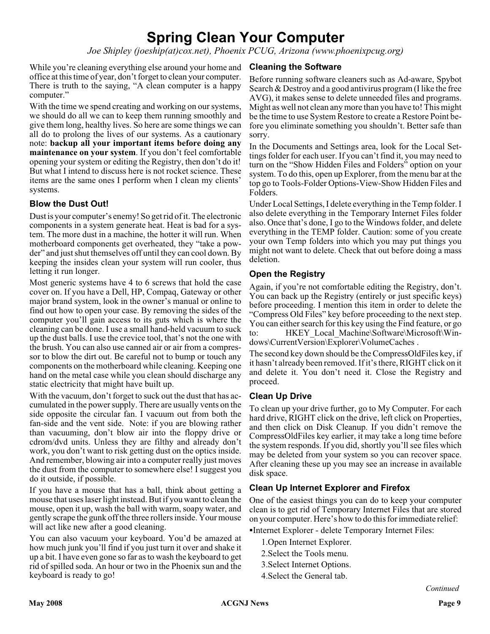# **Spring Clean Your Computer**

*Joe Shipley (joeship(at)cox.net), Phoenix PCUG, Arizona (www.phoenixpcug.org)*

While you're cleaning everything else around your home and office at this time of year, don't forget to clean your computer. There is truth to the saying, "A clean computer is a happy computer."

With the time we spend creating and working on our systems, we should do all we can to keep them running smoothly and give them long, healthy lives. So here are some things we can all do to prolong the lives of our systems. As a cautionary note: **backup all your important items before doing any maintenance on your system**. If you don't feel comfortable opening your system or editing the Registry, then don't do it! But what I intend to discuss here is not rocket science. These items are the same ones I perform when I clean my clients' systems.

# **Blow the Dust Out!**

Dust is your computer's enemy! So get rid of it. The electronic components in a system generate heat. Heat is bad for a system. The more dust in a machine, the hotter it will run. When motherboard components get overheated, they "take a powder" and just shut themselves off until they can cool down. By keeping the insides clean your system will run cooler, thus letting it run longer.

Most generic systems have 4 to 6 screws that hold the case cover on. If you have a Dell, HP, Compaq, Gateway or other major brand system, look in the owner's manual or online to find out how to open your case. By removing the sides of the computer you'll gain access to its guts which is where the cleaning can be done. I use a small hand-held vacuum to suck up the dust balls. I use the crevice tool, that's not the one with the brush. You can also use canned air or air from a compressor to blow the dirt out. Be careful not to bump or touch any components on the motherboard while cleaning. Keeping one hand on the metal case while you clean should discharge any static electricity that might have built up.

With the vacuum, don't forget to suck out the dust that has accumulated in the power supply. There are usually vents on the side opposite the circular fan. I vacuum out from both the fan-side and the vent side. Note: if you are blowing rather than vacuuming, don't blow air into the floppy drive or cdrom/dvd units. Unless they are filthy and already don't work, you don't want to risk getting dust on the optics inside. And remember, blowing air into a computer really just moves the dust from the computer to somewhere else! I suggest you do it outside, if possible.

If you have a mouse that has a ball, think about getting a mouse that uses laser light instead. But if you want to clean the mouse, open it up, wash the ball with warm, soapy water, and gently scrape the gunk off the three rollers inside. Your mouse will act like new after a good cleaning.

You can also vacuum your keyboard. You'd be amazed at how much junk you'll find if you just turn it over and shake it up a bit. I have even gone so far as to wash the keyboard to get rid of spilled soda. An hour or two in the Phoenix sun and the keyboard is ready to go!

## **Cleaning the Software**

Before running software cleaners such as Ad-aware, Spybot Search & Destroy and a good antivirus program (I like the free AVG), it makes sense to delete unneeded files and programs. Might as well not clean any more than you have to! This might be the time to use System Restore to create a Restore Point before you eliminate something you shouldn't. Better safe than sorry.

In the Documents and Settings area, look for the Local Settings folder for each user. If you can't find it, you may need to turn on the "Show Hidden Files and Folders" option on your system. To do this, open up Explorer, from the menu bar at the top go to Tools-Folder Options-View-Show Hidden Files and Folders.

Under Local Settings, I delete everything in the Temp folder. I also delete everything in the Temporary Internet Files folder also. Once that's done, I go to the Windows folder, and delete everything in the TEMP folder. Caution: some of you create your own Temp folders into which you may put things you might not want to delete. Check that out before doing a mass deletion.

# **Open the Registry**

Again, if you're not comfortable editing the Registry, don't. You can back up the Registry (entirely or just specific keys) before proceeding. I mention this item in order to delete the "Compress Old Files" key before proceeding to the next step. You can either search for this key using the Find feature, or go to: HKEY\_Local\_Machine\Software\Microsoft\Windows\CurrentVersion\Explorer\VolumeCaches .

The second key down should be the CompressOldFiles key, if it hasn't already been removed. If it's there, RIGHT click on it and delete it. You don't need it. Close the Registry and proceed.

# **Clean Up Drive**

To clean up your drive further, go to My Computer. For each hard drive, RIGHT click on the drive, left click on Properties, and then click on Disk Cleanup. If you didn't remove the CompressOldFiles key earlier, it may take a long time before the system responds. If you did, shortly you'll see files which may be deleted from your system so you can recover space. After cleaning these up you may see an increase in available disk space.

# **Clean Up Internet Explorer and Firefox**

One of the easiest things you can do to keep your computer clean is to get rid of Temporary Internet Files that are stored on your computer. Here's how to do this for immediate relief:

-Internet Explorer - delete Temporary Internet Files:

- 1.Open Internet Explorer.
- 2.Select the Tools menu.
- 3.Select Internet Options.
- 4.Select the General tab.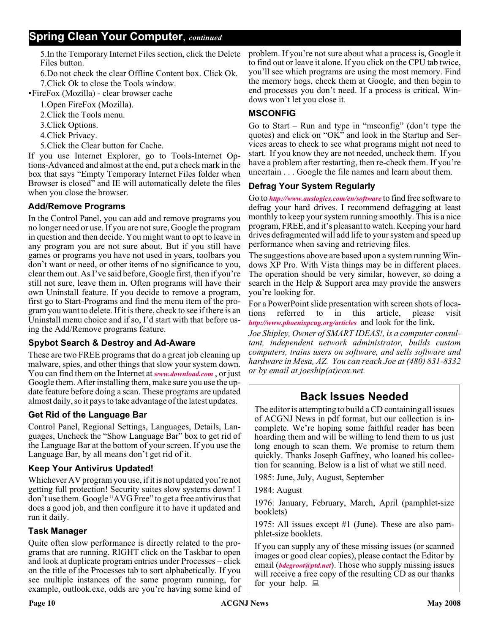5.In the Temporary Internet Files section, click the Delete Files button.

6.Do not check the clear Offline Content box. Click Ok. 7.Click Ok to close the Tools window.

-FireFox (Mozilla) - clear browser cache

1.Open FireFox (Mozilla).

2.Click the Tools menu.

3.Click Options.

4.Click Privacy.

5.Click the Clear button for Cache.

If you use Internet Explorer, go to Tools-Internet Options-Advanced and almost at the end, put a check mark in the box that says "Empty Temporary Internet Files folder when Browser is closed" and IE will automatically delete the files when you close the browser.

# **Add/Remove Programs**

In the Control Panel, you can add and remove programs you no longer need or use. If you are not sure, Google the program in question and then decide. You might want to opt to leave in any program you are not sure about. But if you still have games or programs you have not used in years, toolbars you don't want or need, or other items of no significance to you, clear them out. As I've said before, Google first, then if you're still not sure, leave them in. Often programs will have their own Uninstall feature. If you decide to remove a program, first go to Start-Programs and find the menu item of the program you want to delete. If it is there, check to see if there is an Uninstall menu choice and if so, I'd start with that before using the Add/Remove programs feature.

# **Spybot Search & Destroy and Ad-Aware**

These are two FREE programs that do a great job cleaning up malware, spies, and other things that slow your system down. You can find them on the Internet at *[www.download.com](http://www.download.com)* , or just Google them. After installing them, make sure you use the update feature before doing a scan. These programs are updated almost daily, so it pays to take advantage of the latest updates.

# **Get Rid of the Language Bar**

Control Panel, Regional Settings, Languages, Details, Languages, Uncheck the "Show Language Bar" box to get rid of the Language Bar at the bottom of your screen. If you use the Language Bar, by all means don't get rid of it.

# **Keep Your Antivirus Updated!**

Whichever AV program you use, if it is not updated you're not getting full protection! Security suites slow systems down! I don't use them. Google "AVG Free" to get a free antivirus that does a good job, and then configure it to have it updated and run it daily.

# **Task Manager**

Quite often slow performance is directly related to the programs that are running. RIGHT click on the Taskbar to open and look at duplicate program entries under Processes – click on the title of the Processes tab to sort alphabetically. If you see multiple instances of the same program running, for example, outlook.exe, odds are you're having some kind of

problem. If you're not sure about what a process is, Google it to find out or leave it alone. If you click on the CPU tab twice, you'll see which programs are using the most memory. Find the memory hogs, check them at Google, and then begin to end processes you don't need. If a process is critical, Windows won't let you close it.

# **MSCONFIG**

Go to Start – Run and type in "msconfig" (don't type the quotes) and click on "OK" and look in the Startup and Services areas to check to see what programs might not need to start. If you know they are not needed, uncheck them. If you have a problem after restarting, then re-check them. If you're uncertain . . . Google the file names and learn about them.

## **Defrag Your System Regularly**

Go to *<http://www.auslogics.com/en/software>* to find free software to defrag your hard drives. I recommend defragging at least monthly to keep your system running smoothly. This is a nice program, FREE, and it's pleasant to watch. Keeping your hard drives defragmented will add life to your system and speed up performance when saving and retrieving files.

The suggestions above are based upon a system running Windows XP Pro. With Vista things may be in different places. The operation should be very similar, however, so doing a search in the Help & Support area may provide the answers you're looking for.

For a PowerPoint slide presentation with screen shots of loca-<br>tions referred to in this article, please visit tions referred to in this article, please visit *[http://www.phoenixpcug.org/articles](http://www.phoenixpcug.org/articles )* and look for the link**.**

*Joe Shipley, Owner of SMART IDEAS!, is a computer consultant, independent network administrator, builds custom computers, trains users on software, and sells software and hardware in Mesa, AZ. You can reach Joe at (480) 831-8332 or by email at joeship(at)cox.net.*

# **Back Issues Needed**

The editor is attempting to build a CD containing all issues of ACGNJ News in pdf format, but our collection is incomplete. We're hoping some faithful reader has been hoarding them and will be willing to lend them to us just long enough to scan them. We promise to return them quickly. Thanks Joseph Gaffney, who loaned his collection for scanning. Below is a list of what we still need.

1985: June, July, August, September

1984: August

1976: January, February, March, April (pamphlet-size booklets)

1975: All issues except #1 (June). These are also pamphlet-size booklets.

If you can supply any of these missing issues (or scanned images or good clear copies), please contact the Editor by email (*[bdegroot@ptd.net](mailto:bdegroot@ptd.net)*). Those who supply missing issues will receive a free copy of the resulting CD as our thanks for your help.  $\Box$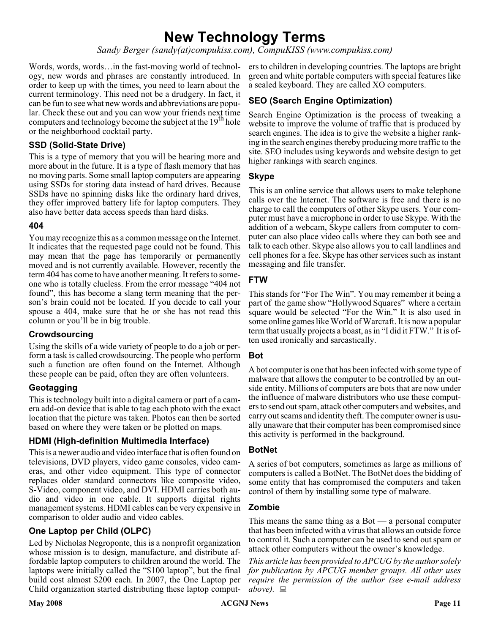# **New Technology Terms**

*Sandy Berger (sandy(at)compukiss.com), CompuKISS (www.compukiss.com)*

Words, words, words... in the fast-moving world of technology, new words and phrases are constantly introduced. In order to keep up with the times, you need to learn about the current terminology. This need not be a drudgery. In fact, it can be fun to see what new words and abbreviations are popular. Check these out and you can wow your friends next time computers and technology become the subject at the  $19<sup>th</sup>$  hole or the neighborhood cocktail party.

## **SSD (Solid-State Drive)**

This is a type of memory that you will be hearing more and more about in the future. It is a type of flash memory that has no moving parts. Some small laptop computers are appearing using SSDs for storing data instead of hard drives. Because SSDs have no spinning disks like the ordinary hard drives, they offer improved battery life for laptop computers. They also have better data access speeds than hard disks.

#### **404**

You may recognize this as a common message on the Internet. It indicates that the requested page could not be found. This may mean that the page has temporarily or permanently moved and is not currently available. However, recently the term 404 has come to have another meaning. It refers to someone who is totally clueless. From the error message "404 not found", this has become a slang term meaning that the person's brain could not be located. If you decide to call your spouse a 404, make sure that he or she has not read this column or you'll be in big trouble.

#### **Crowdsourcing**

Using the skills of a wide variety of people to do a job or perform a task is called crowdsourcing. The people who perform such a function are often found on the Internet. Although these people can be paid, often they are often volunteers.

#### **Geotagging**

This is technology built into a digital camera or part of a camera add-on device that is able to tag each photo with the exact location that the picture was taken. Photos can then be sorted based on where they were taken or be plotted on maps.

#### **HDMI (High-definition Multimedia Interface)**

This is a newer audio and video interface that is often found on televisions, DVD players, video game consoles, video cameras, and other video equipment. This type of connector replaces older standard connectors like composite video, S-Video, component video, and DVI. HDMI carries both audio and video in one cable. It supports digital rights management systems. HDMI cables can be very expensive in comparison to older audio and video cables.

# **One Laptop per Child (OLPC)**

Led by Nicholas Negroponte, this is a nonprofit organization whose mission is to design, manufacture, and distribute affordable laptop computers to children around the world. The laptops were initially called the "\$100 laptop", but the final build cost almost \$200 each. In 2007, the One Laptop per Child organization started distributing these laptop comput-

ers to children in developing countries. The laptops are bright green and white portable computers with special features like a sealed keyboard. They are called XO computers.

# **SEO (Search Engine Optimization)**

Search Engine Optimization is the process of tweaking a website to improve the volume of traffic that is produced by search engines. The idea is to give the website a higher ranking in the search engines thereby producing more traffic to the site. SEO includes using keywords and website design to get higher rankings with search engines.

#### **Skype**

This is an online service that allows users to make telephone calls over the Internet. The software is free and there is no charge to call the computers of other Skype users. Your computer must have a microphone in order to use Skype. With the addition of a webcam, Skype callers from computer to computer can also place video calls where they can both see and talk to each other. Skype also allows you to call landlines and cell phones for a fee. Skype has other services such as instant messaging and file transfer.

## **FTW**

This stands for "For The Win". You may remember it being a part of the game show "Hollywood Squares" where a certain square would be selected "For the Win." It is also used in some online games like World of Warcraft. It is now a popular term that usually projects a boast, as in "I did it FTW." It is often used ironically and sarcastically.

# **Bot**

A bot computer is one that has been infected with some type of malware that allows the computer to be controlled by an outside entity. Millions of computers are bots that are now under the influence of malware distributors who use these computers to send out spam, attack other computers and websites, and carry out scams and identity theft. The computer owner is usually unaware that their computer has been compromised since this activity is performed in the background.

#### **BotNet**

A series of bot computers, sometimes as large as millions of computers is called a BotNet. The BotNet does the bidding of some entity that has compromised the computers and taken control of them by installing some type of malware.

#### **Zombie**

This means the same thing as a  $Bot - a$  personal computer that has been infected with a virus that allows an outside force to control it. Such a computer can be used to send out spam or attack other computers without the owner's knowledge.

*This article has been provided to APCUG by the author solely for publication by APCUG member groups. All other uses require the permission of the author (see e-mail address above).*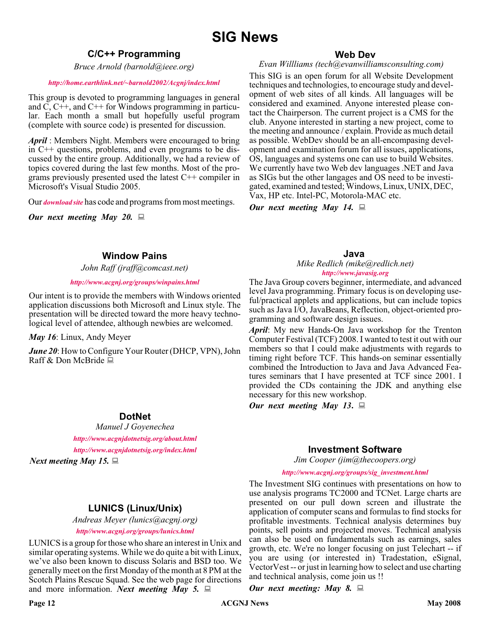# **SIG News**

# **C/C++ Programming**

*Bruce Arnold (barnold@ieee.org)*

#### *<http://home.earthlink.net/~barnold2002/Acgnj/index.html>*

This group is devoted to programming languages in general and C, C++, and C++ for Windows programming in particular. Each month a small but hopefully useful program (complete with source code) is presented for discussion.

*April* : Members Night. Members were encouraged to bring in C++ questions, problems, and even programs to be discussed by the entire group. Additionally, we had a review of topics covered during the last few months. Most of the programs previously presented used the latest C++ compiler in Microsoft's Visual Studio 2005.

Our *[download site](http://home.earthlink.net/~barnold2002/Acgnj/Download.htm)* has code and programs from most meetings.

*Our next meeting May 20.*

# **Window Pains**

*John Raff (jraff@comcast.net)*

#### *<http://www.acgnj.org/groups/winpains.html>*

Our intent is to provide the members with Windows oriented application discussions both Microsoft and Linux style. The presentation will be directed toward the more heavy technological level of attendee, although newbies are welcomed.

*May 16*: Linux, Andy Meyer

*June 20*: How to Configure Your Router (DHCP, VPN), John Raff & Don McBride

# **DotNet**

*Manuel J Goyenechea*

*<http://www.acgnjdotnetsig.org/about.html> <http://www.acgnjdotnetsig.org/index.html>*

*Next meeting May 15.*

# **LUNICS (Linux/Unix)**

*Andreas Meyer (lunics@acgnj.org) <http//www.acgnj.org/groups/lunics.html>*

LUNICS is a group for those who share an interest in Unix and similar operating systems. While we do quite a bit with Linux, we've also been known to discuss Solaris and BSD too. We generally meet on the first Monday of the month at 8 PM at the Scotch Plains Rescue Squad. See the web page for directions and more information. *Next meeting May 5.*

#### **Web Dev**

*Evan Willliams (tech@evanwilliamsconsulting.com)*

This SIG is an open forum for all Website Development techniques and technologies, to encourage study and development of web sites of all kinds. All languages will be considered and examined. Anyone interested please contact the Chairperson. The current project is a CMS for the club. Anyone interested in starting a new project, come to the meeting and announce / explain. Provide as much detail as possible. WebDev should be an all-encompasing development and examination forum for all issues, applications, OS, languages and systems one can use to build Websites. We currently have two Web dev languages .NET and Java as SIGs but the other langages and OS need to be investigated, examined and tested; Windows, Linux, UNIX, DEC, Vax, HP etc. Intel-PC, Motorola-MAC etc.

*Our next meeting May 14.*

**Java**

*Mike Redlich (mike@redlich.net) <http://www.javasig.org>*

The Java Group covers beginner, intermediate, and advanced level Java programming. Primary focus is on developing useful/practical applets and applications, but can include topics such as Java I/O, JavaBeans, Reflection, object-oriented programming and software design issues.

*April*: My new Hands-On Java workshop for the Trenton Computer Festival (TCF) 2008. I wanted to test it out with our members so that I could make adjustments with regards to timing right before TCF. This hands-on seminar essentially combined the Introduction to Java and Java Advanced Features seminars that I have presented at TCF since 2001. I provided the CDs containing the JDK and anything else necessary for this new workshop.

*Our next meeting May 13***.**

# **Investment Software**

*Jim Cooper (jim@thecoopers.org)*

*[http://www.acgnj.org/groups/sig\\_investment.html](http://www.acgnj.org/groups/sig_investment.html)*

The Investment SIG continues with presentations on how to use analysis programs TC2000 and TCNet. Large charts are presented on our pull down screen and illustrate the application of computer scans and formulas to find stocks for profitable investments. Technical analysis determines buy points, sell points and projected moves. Technical analysis can also be used on fundamentals such as earnings, sales growth, etc. We're no longer focusing on just Telechart -- if you are using (or interested in) Tradestation, eSignal, VectorVest -- or just in learning how to select and use charting and technical analysis, come join us !!

*Our next meeting: May 8.*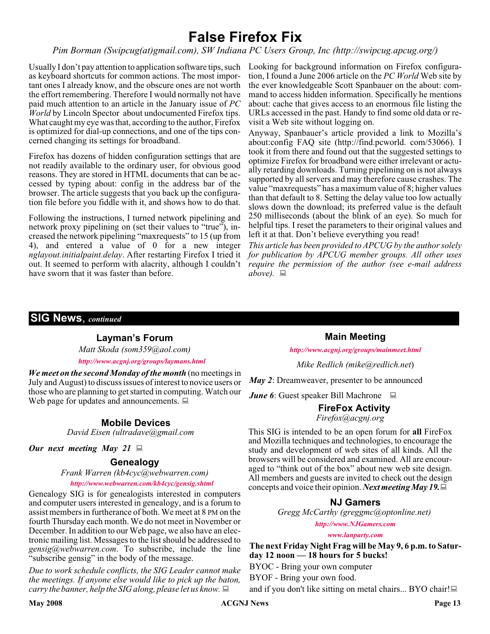# **False Firefox Fix**

*Pim Borman (Swipcug(at)gmail.com), SW Indiana PC Users Group, Inc (http://swipcug.apcug.org/)*

as keyboard shortcuts for common actions. The most important ones I already know, and the obscure ones are not worth the effort remembering. Therefore I would normally not have paid much attention to an article in the January issue of *PC World* by Lincoln Spector about undocumented Firefox tips. What caught my eye was that, according to the author, Firefox is optimized for dial-up connections, and one of the tips concerned changing its settings for broadband.

Firefox has dozens of hidden configuration settings that are not readily available to the ordinary user, for obvious good reasons. They are stored in HTML documents that can be accessed by typing about: config in the address bar of the browser. The article suggests that you back up the configuration file before you fiddle with it, and shows how to do that.

Following the instructions, I turned network pipelining and network proxy pipelining on (set their values to "true"), increased the network pipelining "maxrequests" to 15 (up from 4), and entered a value of 0 for a new integer *nglayout.initialpaint.delay*. After restarting Firefox I tried it out. It seemed to perform with alacrity, although I couldn't *require the permission of the author (see e-mail address* have sworn that it was faster than before.

Usually I don't pay attention to application software tips, such Looking for background information on Firefox configuration, I found a June 2006 article on the *PC World* Web site by the ever knowledgeable Scott Spanbauer on the about: command to access hidden information. Specifically he mentions about: cache that gives access to an enormous file listing the URLs accessed in the past. Handy to find some old data or revisit a Web site without logging on.

> Anyway, Spanbauer's article provided a link to Mozilla's about:config FAQ site (http://find.pcworld. com/53066). I took it from there and found out that the suggested settings to optimize Firefox for broadband were either irrelevant or actually retarding downloads. Turning pipelining on is not always supported by all servers and may therefore cause crashes. The value "maxrequests" has a maximum value of 8; higher values than that default to 8. Setting the delay value too low actually slows down the download; its preferred value is the default 250 milliseconds (about the blink of an eye). So much for helpful tips. I reset the parameters to their original values and left it at that. Don't believe everything you read!

> *This article has been provided to APCUG by the author solely for publication by APCUG member groups. All other uses above).*

# **SIG News**, *continued*

#### **Layman's Forum**

*Matt Skoda (som359@aol.com)*

*<http://www.acgnj.org/groups/laymans.html>*

*We meet on the second Monday of the month* (no meetings in July and August) to discuss issues of interest to novice users or those who are planning to get started in computing. Watch our Web page for updates and announcements.  $\Box$ 

# **Mobile Devices**

*David Eisen (ultradave@gmail.com*

#### *Our next meeting May 21*

# **Genealogy**

*Frank Warren (kb4cyc@webwarren.com)*

#### *<http://www.webwarren.com/kb4cyc/gensig.shtml>*

Genealogy SIG is for genealogists interested in computers and computer users interested in genealogy, and is a forum to assist members in furtherance of both. We meet at 8 PM on the fourth Thursday each month. We do not meet in November or December. In addition to our Web page, we also have an electronic mailing list. Messages to the list should be addressed to *gensig@webwarren.com*. To subscribe, include the line "subscribe gensig" in the body of the message.

*Due to work schedule conflicts, the SIG Leader cannot make the meetings. If anyone else would like to pick up the baton, carry the banner, help the SIG along, please let us know.*

**Main Meeting**

*<http://www.acgnj.org/groups/mainmeet.html>*

*Mike Redlich (mike@redlich.net*)

*May 2*: Dreamweaver, presenter to be announced

*June 6*: Guest speaker Bill Machrone ■

# **FireFox Activity**

*Firefox@acgnj.org*

This SIG is intended to be an open forum for **all** FireFox and Mozilla techniques and technologies, to encourage the study and development of web sites of all kinds. All the browsers will be considered and examined. All are encouraged to "think out of the box" about new web site design. All members and guests are invited to check out the design concepts and voice their opinion. *Next meeting May 19.*

# **NJ Gamers**

*Gregg McCarthy (greggmc@optonline.net)*

*<http://www.NJGamers.com>*

*[www.lanparty.com](http://www.lanparty.com)*

**The next Friday Night Frag will be May 9, 6 p.m. to Saturday 12 noon — 18 hours for 5 bucks!**

BYOC - Bring your own computer

BYOF - Bring your own food.

and if you don't like sitting on metal chairs... BYO chair!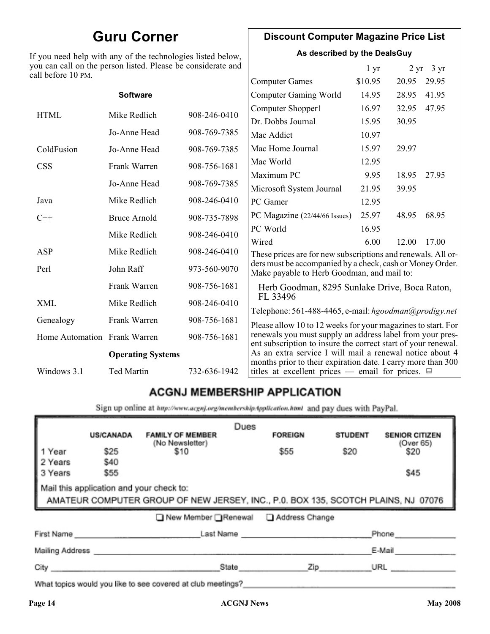# **Guru Corner**

If you need help with any of the technologies listed below, you can call on the person listed. Please be considerate and ca

# **Discount Computer Magazine Price List**

**As described by the DealsGuy**

 $1 \text{ yr}$   $2 \text{ yr}$   $3 \text{ yr}$ 

| ll before 10 PM.             |                          |              |                                                                                                                                                                                            |         |       |       |
|------------------------------|--------------------------|--------------|--------------------------------------------------------------------------------------------------------------------------------------------------------------------------------------------|---------|-------|-------|
|                              |                          |              | <b>Computer Games</b>                                                                                                                                                                      | \$10.95 | 20.95 | 29.95 |
|                              | <b>Software</b>          |              | <b>Computer Gaming World</b>                                                                                                                                                               | 14.95   | 28.95 | 41.95 |
| <b>HTML</b>                  | Mike Redlich             | 908-246-0410 | Computer Shopper1                                                                                                                                                                          | 16.97   | 32.95 | 47.95 |
|                              |                          |              | Dr. Dobbs Journal                                                                                                                                                                          | 15.95   | 30.95 |       |
|                              | Jo-Anne Head             | 908-769-7385 | Mac Addict                                                                                                                                                                                 | 10.97   |       |       |
| ColdFusion                   | Jo-Anne Head             | 908-769-7385 | Mac Home Journal                                                                                                                                                                           | 15.97   | 29.97 |       |
| <b>CSS</b>                   | Frank Warren             | 908-756-1681 | Mac World                                                                                                                                                                                  | 12.95   |       |       |
|                              |                          |              | Maximum PC                                                                                                                                                                                 | 9.95    | 18.95 | 27.95 |
|                              | Jo-Anne Head             | 908-769-7385 | Microsoft System Journal                                                                                                                                                                   | 21.95   | 39.95 |       |
| Java                         | Mike Redlich             | 908-246-0410 | PC Gamer                                                                                                                                                                                   | 12.95   |       |       |
| $C++$                        | <b>Bruce Arnold</b>      | 908-735-7898 | PC Magazine (22/44/66 Issues)                                                                                                                                                              | 25.97   | 48.95 | 68.95 |
|                              | Mike Redlich             | 908-246-0410 | PC World                                                                                                                                                                                   | 16.95   |       |       |
|                              |                          |              | Wired                                                                                                                                                                                      | 6.00    | 12.00 | 17.00 |
| ASP                          | Mike Redlich             | 908-246-0410 | These prices are for new subscriptions and renewals. All or-                                                                                                                               |         |       |       |
| Perl                         | John Raff                | 973-560-9070 | ders must be accompanied by a check, cash or Money Order.<br>Make payable to Herb Goodman, and mail to:                                                                                    |         |       |       |
|                              | Frank Warren             | 908-756-1681 | Herb Goodman, 8295 Sunlake Drive, Boca Raton,                                                                                                                                              |         |       |       |
| XML                          | Mike Redlich             | 908-246-0410 | FL 33496<br>Telephone: 561-488-4465, e-mail: hgoodman@prodigy.net                                                                                                                          |         |       |       |
| Genealogy                    | Frank Warren             | 908-756-1681 |                                                                                                                                                                                            |         |       |       |
| Home Automation Frank Warren |                          | 908-756-1681 | Please allow 10 to 12 weeks for your magazines to start. For<br>renewals you must supply an address label from your pres-<br>ent subscription to insure the correct start of your renewal. |         |       |       |
|                              | <b>Operating Systems</b> |              | As an extra service I will mail a renewal notice about 4                                                                                                                                   |         |       |       |
| Windows 3.1                  | Ted Martin               | 732-636-1942 | months prior to their expiration date. I carry more than 300<br>titles at excellent prices — email for prices. $\Box$                                                                      |         |       |       |
|                              |                          |              |                                                                                                                                                                                            |         |       |       |

# **ACGNJ MEMBERSHIP APPLICATION**

Sign up online at http://www.acguj.org/membershipApplication.html and pay dues with PayPal.

| <b>US/CANADA</b>                                                                                                              | <b>FAMILY OF MEMBER</b> | Dues                                                         | <b>FOREIGN</b> | <b>STUDENT</b> | <b>SENIOR CITIZEN</b> |  |
|-------------------------------------------------------------------------------------------------------------------------------|-------------------------|--------------------------------------------------------------|----------------|----------------|-----------------------|--|
| \$25                                                                                                                          | \$10                    |                                                              | \$55           | \$20           | (Over 65)<br>\$20     |  |
| \$55                                                                                                                          |                         |                                                              |                |                | \$45                  |  |
| Mail this application and your check to:<br>AMATEUR COMPUTER GROUP OF NEW JERSEY, INC., P.0. BOX 135, SCOTCH PLAINS, NJ 07076 |                         |                                                              |                |                |                       |  |
| ■ New Member Renewal ■ Address Change                                                                                         |                         |                                                              |                |                |                       |  |
|                                                                                                                               |                         |                                                              |                |                | Phone                 |  |
|                                                                                                                               |                         |                                                              |                |                | E-Mail                |  |
|                                                                                                                               |                         |                                                              |                |                | URL                   |  |
|                                                                                                                               | \$40<br>City            | (No Newsletter)<br>First Name<br>Mailing Address ___________ | State          |                | Last Name<br>Zip      |  |

What topics would you like to see covered at club meetings?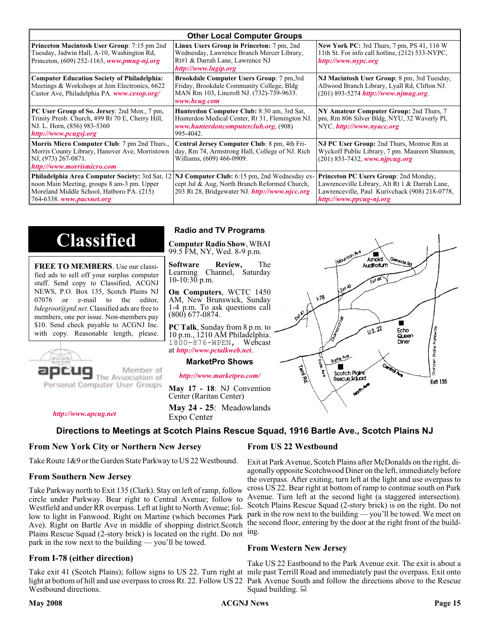| <b>Other Local Computer Groups</b>                                                                                                                         |                                                                                                                                                                                                        |                                                                                                                                                                             |  |  |
|------------------------------------------------------------------------------------------------------------------------------------------------------------|--------------------------------------------------------------------------------------------------------------------------------------------------------------------------------------------------------|-----------------------------------------------------------------------------------------------------------------------------------------------------------------------------|--|--|
| <b>Princeton Macintosh User Group:</b> 7:15 pm 2nd<br>Tuesday, Jadwin Hall, A-10, Washington Rd,<br>Princeton, $(609)$ 252-1163, www.pmug-nj.org           | Linux Users Group in Princeton: 7 pm, 2nd<br>Wednesday, Lawrence Branch Mercer Library,<br>Rt#1 & Darrah Lane, Lawrence NJ<br>http://www.lugip.org                                                     | <b>New York PC:</b> 3rd Thurs, 7 pm, PS 41, 116 W<br>11th St. For info call hotline, (212) 533-NYPC,<br>http://www.nypc.org                                                 |  |  |
| <b>Computer Education Society of Philadelphia:</b><br>Meetings & Workshops at Jem Electronics, 6622<br>Castor Ave, Philadelphia PA. www.cesop.org/         | <b>Brookdale Computer Users Group:</b> 7 pm, 3rd<br>Friday, Brookdale Community College, Bldg<br>MAN Rm 103, Lincroft NJ. (732)-739-9633.<br>www.bcug.com                                              | NJ Macintosh User Group: 8 pm, 3rd Tuesday,<br>Allwood Branch Library, Lyall Rd, Clifton NJ.<br>$(201)$ 893-5274 http://www.njmug.org.                                      |  |  |
| PC User Group of So. Jersey: 2nd Mon., 7 pm,<br>Trinity Presb. Church, 499 Rt 70 E, Cherry Hill,<br>NJ. L. Horn, (856) 983-5360<br>http://www.pcugsj.org   | Hunterdon Computer Club: 8:30 am, 3rd Sat,<br>Hunterdon Medical Center, Rt 31, Flemington NJ.<br>www.hunterdoncomputerclub.org (908)<br>995-4042.                                                      | NY Amateur Computer Group: 2nd Thurs, 7<br>pm, Rm 806 Silver Bldg, NYU, 32 Waverly Pl,<br>NYC http://www.nyacc.org                                                          |  |  |
| <b>Morris Micro Computer Club:</b> 7 pm 2nd Thurs.,<br>Morris County Library, Hanover Ave, Morristown<br>NJ, (973) 267-0871.<br>http://www.morrismicro.com | Central Jersey Computer Club: 8 pm, 4th Fri-<br>day, Rm 74, Armstrong Hall, College of NJ. Rich<br>Williams, (609) 466-0909.                                                                           | NJ PC User Group: 2nd Thurs, Monroe Rm at<br>Wyckoff Public Library, 7 pm. Maureen Shannon,<br>$(201)$ 853-7432, www.njpcug.org                                             |  |  |
| noon Main Meeting, groups 8 am-3 pm. Upper<br>Moreland Middle School, Hatboro PA. (215)<br>764-6338. www.pacsnet.org                                       | <b>Philadelphia Area Computer Society: 3rd Sat, 12 NJ Computer Club: 6:15 pm, 2nd Wednesday ex-</b><br>cept Jul & Aug, North Branch Reformed Church,<br>203 Rt 28, Bridgewater NJ. http://www.njcc.org | <b>Princeton PC Users Group: 2nd Monday,</b><br>Lawrenceville Library, Alt Rt 1 & Darrah Lane,<br>Lawrenceville, Paul Kurivchack (908) 218-0778,<br>http://www.ppcug-nj.org |  |  |

# **Classified**

**FREE TO MEMBERS**. Use our classified ads to sell off your surplus computer stuff. Send copy to Classified, ACGNJ NEWS, P.O. Box 135, Scotch Plains NJ 07076 or e-mail to the editor, *bdegroot@ptd.net*. Classified ads are free to members, one per issue. Non-members pay \$10. Send check payable to ACGNJ Inc. with copy. Reasonable length, please.



# Member of

Personal Computer User Groups

**Radio and TV Programs**

**Computer Radio Show**, WBAI 99.5 FM, NY, Wed. 8-9 p.m.

**Software Review,** The Learning Channel, Saturday 10-10:30 p.m.

**On Computers**, WCTC 1450 AM, New Brunswick, Sunday 1-4 p.m. To ask questions call (800) 677-0874.

**PC Talk**, Sunday from 8 p.m. to 10 p.m., 1210 AM Philadelphia. 1800-876-WPEN, Webcast at *<http://www.pctalkweb.net>*.

#### **MarketPro Shows**

*<http://www.marketpro.com/>*

**May 17 - 18**: NJ Convention Center (Raritan Center)

**May 24 - 25**: Meadowlands Expo Center

*<http://www.apcug.net>*

# **Directions to Meetings at Scotch Plains Rescue Squad, 1916 Bartle Ave., Scotch Plains NJ**

#### **From New York City or Northern New Jersey**

Take Route 1&9 or the Garden State Parkway to US 22 Westbound.

#### **From Southern New Jersey**

Take Parkway north to Exit 135 (Clark). Stay on left of ramp, follow circle under Parkway. Bear right to Central Avenue; follow to Westfield and under RR overpass. Left at light to North Avenue; follow to light in Fanwood. Right on Martine (which becomes Park Ave). Right on Bartle Ave in middle of shopping district.Scotch Plains Rescue Squad (2-story brick) is located on the right. Do not ing. park in the row next to the building — you'll be towed.

#### **From I-78 (either direction)**

Take exit 41 (Scotch Plains); follow signs to US 22. Turn right at mile past Terrill Road and immediately past the overpass. Exit onto light at bottom of hill and use overpass to cross Rt. 22. Follow US 22 Park Avenue South and follow the directions above to the Rescue Westbound directions.

#### **From US 22 Westbound**

Exit at Park Avenue, Scotch Plains after McDonalds on the right, diagonally opposite Scotchwood Diner on the left, immediately before the overpass. After exiting, turn left at the light and use overpass to cross US 22. Bear right at bottom of ramp to continue south on Park Avenue. Turn left at the second light (a staggered intersection). Scotch Plains Rescue Squad (2-story brick) is on the right. Do not park in the row next to the building — you'll be towed. We meet on the second floor, entering by the door at the right front of the build-

#### **From Western New Jersey**

Take US 22 Eastbound to the Park Avenue exit. The exit is about a Squad building.  $\Box$